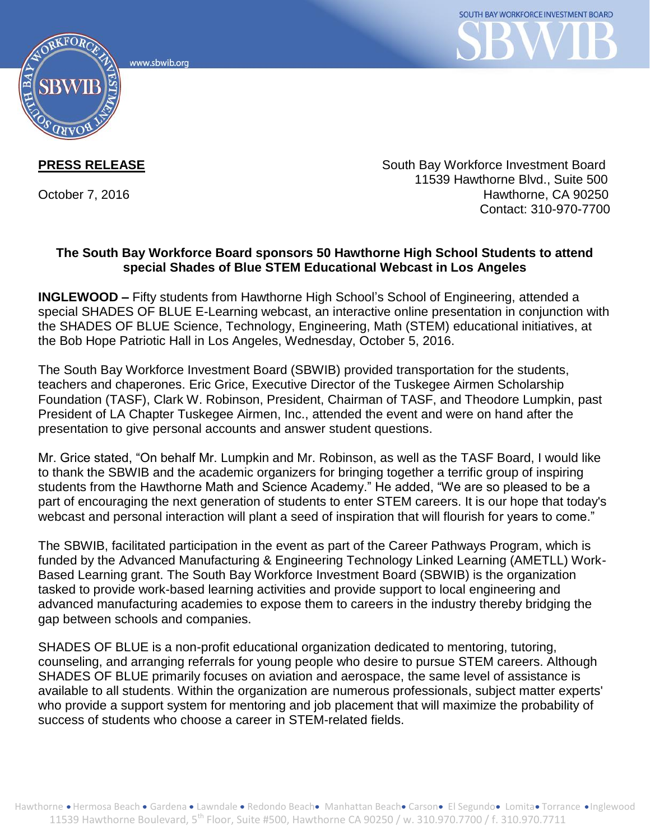www.sbwib.org



**PRESS RELEASE** South Bay Workforce Investment Board 11539 Hawthorne Blvd., Suite 500 October 7, 2016 **Hawthorne, CA 90250** Contact: 310-970-7700

## **The South Bay Workforce Board sponsors 50 Hawthorne High School Students to attend special Shades of Blue STEM Educational Webcast in Los Angeles**

**INGLEWOOD –** Fifty students from Hawthorne High School's School of Engineering, attended a special SHADES OF BLUE E-Learning webcast, an interactive online presentation in conjunction with the SHADES OF BLUE Science, Technology, Engineering, Math (STEM) educational initiatives, at the Bob Hope Patriotic Hall in Los Angeles, Wednesday, October 5, 2016.

The South Bay Workforce Investment Board (SBWIB) provided transportation for the students, teachers and chaperones. Eric Grice, Executive Director of the Tuskegee Airmen Scholarship Foundation (TASF), Clark W. Robinson, President, Chairman of TASF, and Theodore Lumpkin, past President of LA Chapter Tuskegee Airmen, Inc., attended the event and were on hand after the presentation to give personal accounts and answer student questions.

Mr. Grice stated, "On behalf Mr. Lumpkin and Mr. Robinson, as well as the TASF Board, I would like to thank the SBWIB and the academic organizers for bringing together a terrific group of inspiring students from the Hawthorne Math and Science Academy." He added, "We are so pleased to be a part of encouraging the next generation of students to enter STEM careers. It is our hope that today's webcast and personal interaction will plant a seed of inspiration that will flourish for years to come."

The SBWIB, facilitated participation in the event as part of the Career Pathways Program, which is funded by the Advanced Manufacturing & Engineering Technology Linked Learning (AMETLL) Work-Based Learning grant. The South Bay Workforce Investment Board (SBWIB) is the organization tasked to provide work-based learning activities and provide support to local engineering and advanced manufacturing academies to expose them to careers in the industry thereby bridging the gap between schools and companies.

SHADES OF BLUE is a non-profit educational organization dedicated to mentoring, tutoring, counseling, and arranging referrals for young people who desire to pursue STEM careers. Although SHADES OF BLUE primarily focuses on aviation and aerospace, the same level of assistance is available to all students. Within the organization are numerous professionals, subject matter experts' who provide a support system for mentoring and job placement that will maximize the probability of success of students who choose a career in STEM-related fields.